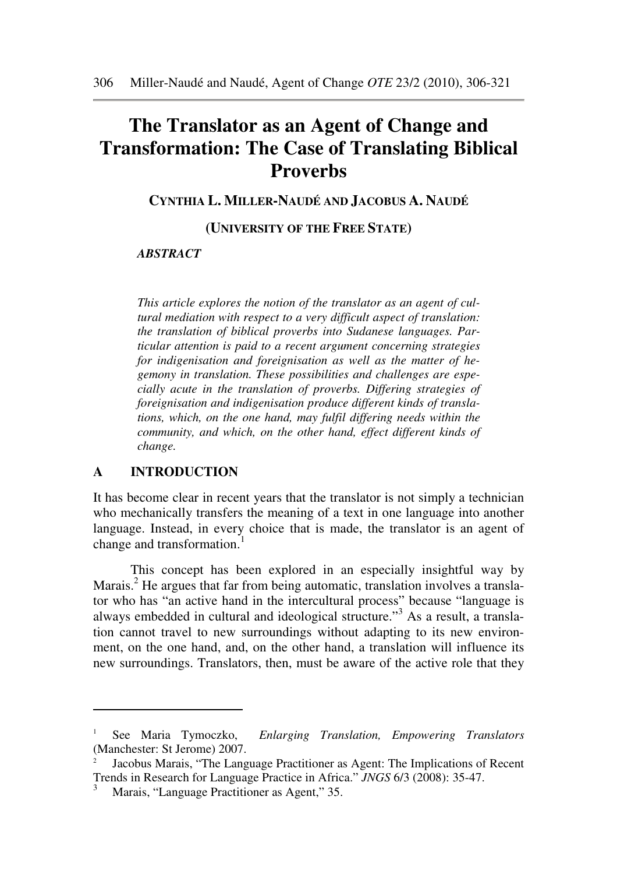# **The Translator as an Agent of Change and Transformation: The Case of Translating Biblical Proverbs**

**CYNTHIA L. MILLER-NAUDÉ AND JACOBUS A. NAUDÉ** 

**(UNIVERSITY OF THE FREE STATE)** 

#### *ABSTRACT*

*This article explores the notion of the translator as an agent of cultural mediation with respect to a very difficult aspect of translation: the translation of biblical proverbs into Sudanese languages. Particular attention is paid to a recent argument concerning strategies for indigenisation and foreignisation as well as the matter of hegemony in translation. These possibilities and challenges are especially acute in the translation of proverbs. Differing strategies of foreignisation and indigenisation produce different kinds of translations, which, on the one hand, may fulfil differing needs within the community, and which, on the other hand, effect different kinds of change.* 

### **A INTRODUCTION**

 $\overline{a}$ 

It has become clear in recent years that the translator is not simply a technician who mechanically transfers the meaning of a text in one language into another language. Instead, in every choice that is made, the translator is an agent of change and transformation.<sup>1</sup>

 This concept has been explored in an especially insightful way by Marais.<sup>2</sup> He argues that far from being automatic, translation involves a translator who has "an active hand in the intercultural process" because "language is always embedded in cultural and ideological structure."<sup>3</sup> As a result, a translation cannot travel to new surroundings without adapting to its new environment, on the one hand, and, on the other hand, a translation will influence its new surroundings. Translators, then, must be aware of the active role that they

<sup>1</sup> See Maria Tymoczko, *Enlarging Translation, Empowering Translators* (Manchester: St Jerome) 2007.

<sup>2</sup> Jacobus Marais, "The Language Practitioner as Agent: The Implications of Recent Trends in Research for Language Practice in Africa." *JNGS* 6/3 (2008): 35-47.

<sup>3</sup> Marais, "Language Practitioner as Agent," 35.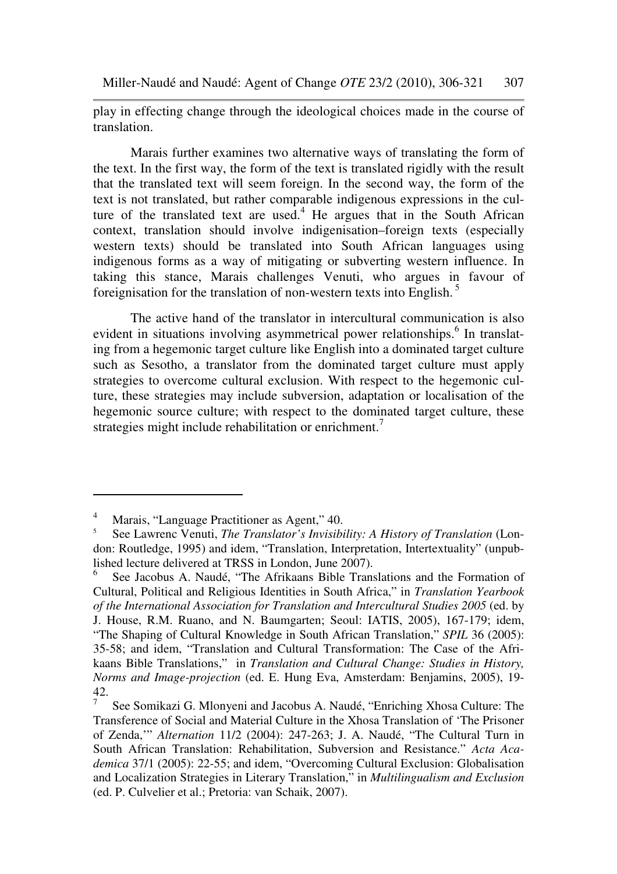play in effecting change through the ideological choices made in the course of translation.

 Marais further examines two alternative ways of translating the form of the text. In the first way, the form of the text is translated rigidly with the result that the translated text will seem foreign. In the second way, the form of the text is not translated, but rather comparable indigenous expressions in the culture of the translated text are used.<sup>4</sup> He argues that in the South African context, translation should involve indigenisation–foreign texts (especially western texts) should be translated into South African languages using indigenous forms as a way of mitigating or subverting western influence. In taking this stance, Marais challenges Venuti, who argues in favour of foreignisation for the translation of non-western texts into English. <sup>5</sup>

 The active hand of the translator in intercultural communication is also evident in situations involving asymmetrical power relationships.<sup>6</sup> In translating from a hegemonic target culture like English into a dominated target culture such as Sesotho, a translator from the dominated target culture must apply strategies to overcome cultural exclusion. With respect to the hegemonic culture, these strategies may include subversion, adaptation or localisation of the hegemonic source culture; with respect to the dominated target culture, these strategies might include rehabilitation or enrichment.<sup>7</sup>

<sup>4</sup> Marais, "Language Practitioner as Agent," 40.

<sup>5</sup> See Lawrenc Venuti, *The Translator's Invisibility: A History of Translation* (London: Routledge, 1995) and idem, "Translation, Interpretation, Intertextuality" (unpublished lecture delivered at TRSS in London, June 2007).

<sup>6</sup> See Jacobus A. Naudé, "The Afrikaans Bible Translations and the Formation of Cultural, Political and Religious Identities in South Africa," in *Translation Yearbook of the International Association for Translation and Intercultural Studies 2005* (ed. by J. House, R.M. Ruano, and N. Baumgarten; Seoul: IATIS, 2005), 167-179; idem, "The Shaping of Cultural Knowledge in South African Translation," *SPIL* 36 (2005): 35-58; and idem, "Translation and Cultural Transformation: The Case of the Afrikaans Bible Translations," in *Translation and Cultural Change: Studies in History, Norms and Image-projection* (ed. E. Hung Eva, Amsterdam: Benjamins, 2005), 19- 42. 7

See Somikazi G. Mlonyeni and Jacobus A. Naudé, "Enriching Xhosa Culture: The Transference of Social and Material Culture in the Xhosa Translation of 'The Prisoner of Zenda,'" *Alternation* 11/2 (2004): 247-263; J. A. Naudé, "The Cultural Turn in South African Translation: Rehabilitation, Subversion and Resistance." *Acta Academica* 37/1 (2005): 22-55; and idem, "Overcoming Cultural Exclusion: Globalisation and Localization Strategies in Literary Translation," in *Multilingualism and Exclusion*  (ed. P. Culvelier et al.; Pretoria: van Schaik, 2007).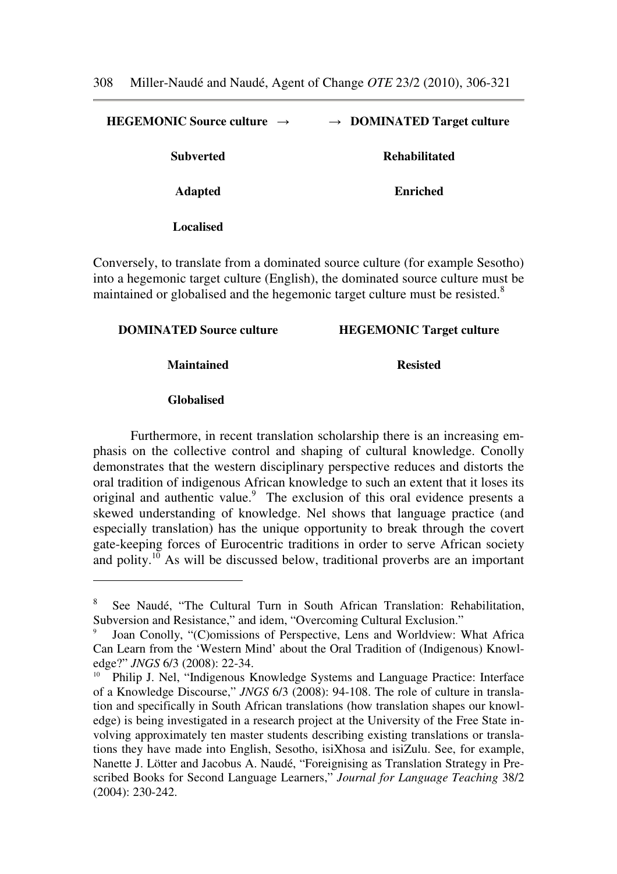**HEGEMONIC Source culture** → → **DOMINATED Target culture Subverted Rehabilitated Adapted Enriched Localised**

Conversely, to translate from a dominated source culture (for example Sesotho) into a hegemonic target culture (English), the dominated source culture must be maintained or globalised and the hegemonic target culture must be resisted.<sup>8</sup>

**DOMINATED Source culture HEGEMONIC Target culture**

**Maintained Resisted**

#### **Globalised**

 $\overline{a}$ 

Furthermore, in recent translation scholarship there is an increasing emphasis on the collective control and shaping of cultural knowledge. Conolly demonstrates that the western disciplinary perspective reduces and distorts the oral tradition of indigenous African knowledge to such an extent that it loses its original and authentic value.<sup>9</sup> The exclusion of this oral evidence presents a skewed understanding of knowledge. Nel shows that language practice (and especially translation) has the unique opportunity to break through the covert gate-keeping forces of Eurocentric traditions in order to serve African society and polity.<sup>10</sup> As will be discussed below, traditional proverbs are an important

<sup>8</sup> See Naudé, "The Cultural Turn in South African Translation: Rehabilitation, Subversion and Resistance," and idem, "Overcoming Cultural Exclusion."

<sup>9</sup> Joan Conolly, "(C)omissions of Perspective, Lens and Worldview: What Africa Can Learn from the 'Western Mind' about the Oral Tradition of (Indigenous) Knowledge?" *JNGS* 6/3 (2008): 22-34.

<sup>10</sup> Philip J. Nel, "Indigenous Knowledge Systems and Language Practice: Interface of a Knowledge Discourse," *JNGS* 6/3 (2008): 94-108. The role of culture in translation and specifically in South African translations (how translation shapes our knowledge) is being investigated in a research project at the University of the Free State involving approximately ten master students describing existing translations or translations they have made into English, Sesotho, isiXhosa and isiZulu. See, for example, Nanette J. Lötter and Jacobus A. Naudé, "Foreignising as Translation Strategy in Prescribed Books for Second Language Learners," *Journal for Language Teaching* 38/2 (2004): 230-242.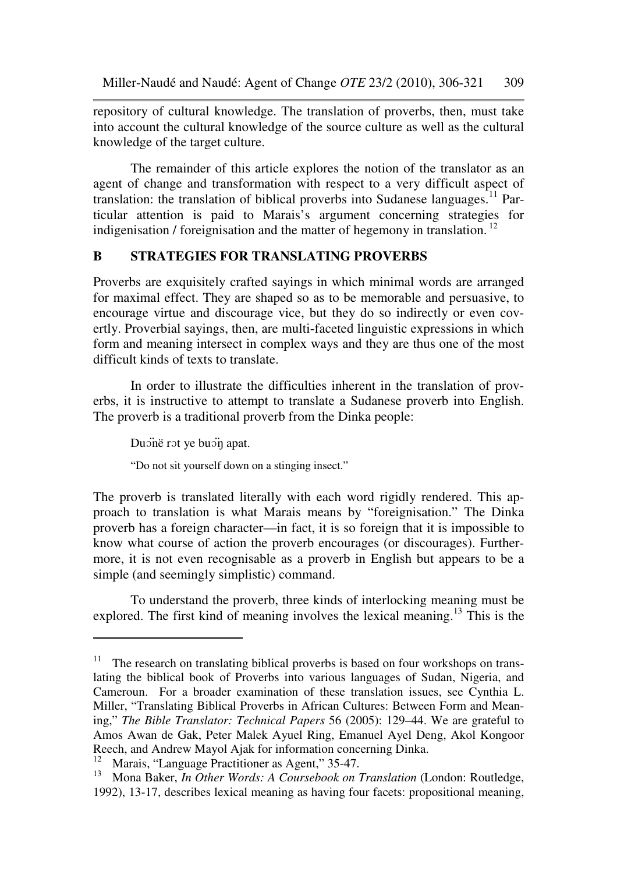repository of cultural knowledge. The translation of proverbs, then, must take into account the cultural knowledge of the source culture as well as the cultural knowledge of the target culture.

The remainder of this article explores the notion of the translator as an agent of change and transformation with respect to a very difficult aspect of translation: the translation of biblical proverbs into Sudanese languages.<sup>11</sup> Particular attention is paid to Marais's argument concerning strategies for indigenisation / foreignisation and the matter of hegemony in translation.<sup>12</sup>

## **B STRATEGIES FOR TRANSLATING PROVERBS**

Proverbs are exquisitely crafted sayings in which minimal words are arranged for maximal effect. They are shaped so as to be memorable and persuasive, to encourage virtue and discourage vice, but they do so indirectly or even covertly. Proverbial sayings, then, are multi-faceted linguistic expressions in which form and meaning intersect in complex ways and they are thus one of the most difficult kinds of texts to translate.

In order to illustrate the difficulties inherent in the translation of proverbs, it is instructive to attempt to translate a Sudanese proverb into English. The proverb is a traditional proverb from the Dinka people:

Duonë rot ye buon apat.

 $\overline{a}$ 

"Do not sit yourself down on a stinging insect."

The proverb is translated literally with each word rigidly rendered. This approach to translation is what Marais means by "foreignisation." The Dinka proverb has a foreign character—in fact, it is so foreign that it is impossible to know what course of action the proverb encourages (or discourages). Furthermore, it is not even recognisable as a proverb in English but appears to be a simple (and seemingly simplistic) command.

To understand the proverb, three kinds of interlocking meaning must be explored. The first kind of meaning involves the lexical meaning.<sup>13</sup> This is the

<sup>&</sup>lt;sup>11</sup> The research on translating biblical proverbs is based on four workshops on translating the biblical book of Proverbs into various languages of Sudan, Nigeria, and Cameroun. For a broader examination of these translation issues, see Cynthia L. Miller, "Translating Biblical Proverbs in African Cultures: Between Form and Meaning," *The Bible Translator: Technical Papers* 56 (2005): 129–44. We are grateful to Amos Awan de Gak, Peter Malek Ayuel Ring, Emanuel Ayel Deng, Akol Kongoor Reech, and Andrew Mayol Ajak for information concerning Dinka.

<sup>&</sup>lt;sup>12</sup> Marais, "Language Practitioner as Agent," 35-47.

<sup>13</sup> Mona Baker, *In Other Words: A Coursebook on Translation* (London: Routledge, 1992), 13-17, describes lexical meaning as having four facets: propositional meaning,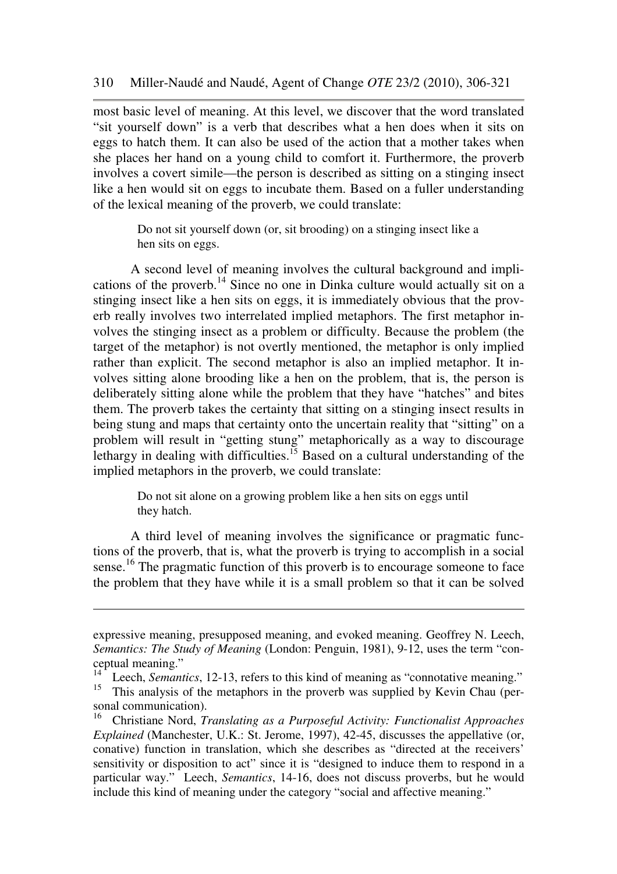most basic level of meaning. At this level, we discover that the word translated "sit yourself down" is a verb that describes what a hen does when it sits on eggs to hatch them. It can also be used of the action that a mother takes when she places her hand on a young child to comfort it. Furthermore, the proverb involves a covert simile—the person is described as sitting on a stinging insect like a hen would sit on eggs to incubate them. Based on a fuller understanding of the lexical meaning of the proverb, we could translate:

Do not sit yourself down (or, sit brooding) on a stinging insect like a hen sits on eggs.

A second level of meaning involves the cultural background and implications of the proverb.<sup>14</sup> Since no one in Dinka culture would actually sit on a stinging insect like a hen sits on eggs, it is immediately obvious that the proverb really involves two interrelated implied metaphors. The first metaphor involves the stinging insect as a problem or difficulty. Because the problem (the target of the metaphor) is not overtly mentioned, the metaphor is only implied rather than explicit. The second metaphor is also an implied metaphor. It involves sitting alone brooding like a hen on the problem, that is, the person is deliberately sitting alone while the problem that they have "hatches" and bites them. The proverb takes the certainty that sitting on a stinging insect results in being stung and maps that certainty onto the uncertain reality that "sitting" on a problem will result in "getting stung" metaphorically as a way to discourage lethargy in dealing with difficulties.<sup>15</sup> Based on a cultural understanding of the implied metaphors in the proverb, we could translate:

> Do not sit alone on a growing problem like a hen sits on eggs until they hatch.

A third level of meaning involves the significance or pragmatic functions of the proverb, that is, what the proverb is trying to accomplish in a social sense.<sup>16</sup> The pragmatic function of this proverb is to encourage someone to face the problem that they have while it is a small problem so that it can be solved

expressive meaning, presupposed meaning, and evoked meaning. Geoffrey N. Leech, *Semantics: The Study of Meaning* (London: Penguin, 1981), 9-12, uses the term "conceptual meaning."

<sup>&</sup>lt;sup>14</sup> Leech, *Semantics*, 12-13, refers to this kind of meaning as "connotative meaning."

<sup>&</sup>lt;sup>15</sup> This analysis of the metaphors in the proverb was supplied by Kevin Chau (personal communication).

<sup>16</sup> Christiane Nord, *Translating as a Purposeful Activity: Functionalist Approaches Explained* (Manchester, U.K.: St. Jerome, 1997), 42-45, discusses the appellative (or, conative) function in translation, which she describes as "directed at the receivers' sensitivity or disposition to act" since it is "designed to induce them to respond in a particular way." Leech, *Semantics*, 14-16, does not discuss proverbs, but he would include this kind of meaning under the category "social and affective meaning."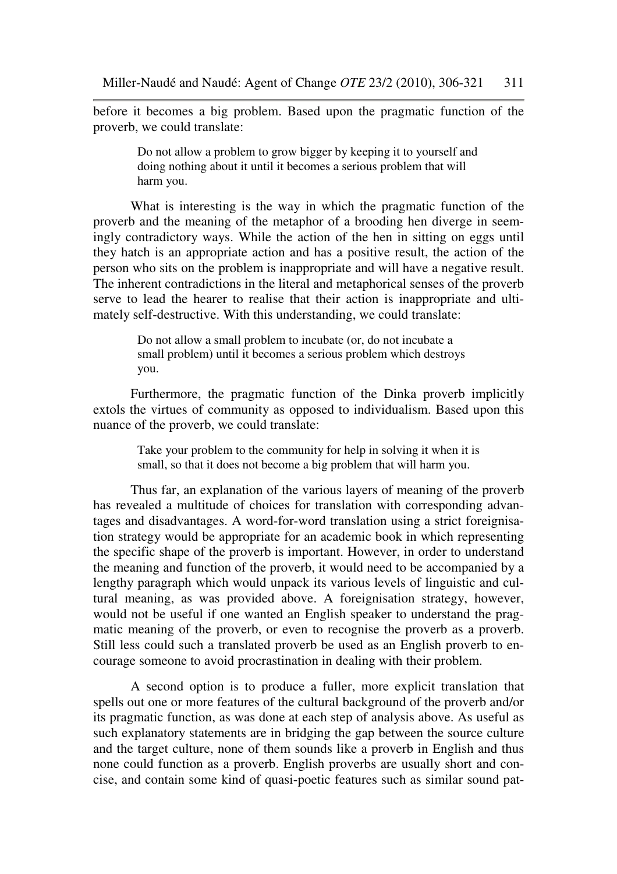before it becomes a big problem. Based upon the pragmatic function of the proverb, we could translate:

> Do not allow a problem to grow bigger by keeping it to yourself and doing nothing about it until it becomes a serious problem that will harm you.

What is interesting is the way in which the pragmatic function of the proverb and the meaning of the metaphor of a brooding hen diverge in seemingly contradictory ways. While the action of the hen in sitting on eggs until they hatch is an appropriate action and has a positive result, the action of the person who sits on the problem is inappropriate and will have a negative result. The inherent contradictions in the literal and metaphorical senses of the proverb serve to lead the hearer to realise that their action is inappropriate and ultimately self-destructive. With this understanding, we could translate:

> Do not allow a small problem to incubate (or, do not incubate a small problem) until it becomes a serious problem which destroys you.

Furthermore, the pragmatic function of the Dinka proverb implicitly extols the virtues of community as opposed to individualism. Based upon this nuance of the proverb, we could translate:

> Take your problem to the community for help in solving it when it is small, so that it does not become a big problem that will harm you.

Thus far, an explanation of the various layers of meaning of the proverb has revealed a multitude of choices for translation with corresponding advantages and disadvantages. A word-for-word translation using a strict foreignisation strategy would be appropriate for an academic book in which representing the specific shape of the proverb is important. However, in order to understand the meaning and function of the proverb, it would need to be accompanied by a lengthy paragraph which would unpack its various levels of linguistic and cultural meaning, as was provided above. A foreignisation strategy, however, would not be useful if one wanted an English speaker to understand the pragmatic meaning of the proverb, or even to recognise the proverb as a proverb. Still less could such a translated proverb be used as an English proverb to encourage someone to avoid procrastination in dealing with their problem.

 A second option is to produce a fuller, more explicit translation that spells out one or more features of the cultural background of the proverb and/or its pragmatic function, as was done at each step of analysis above. As useful as such explanatory statements are in bridging the gap between the source culture and the target culture, none of them sounds like a proverb in English and thus none could function as a proverb. English proverbs are usually short and concise, and contain some kind of quasi-poetic features such as similar sound pat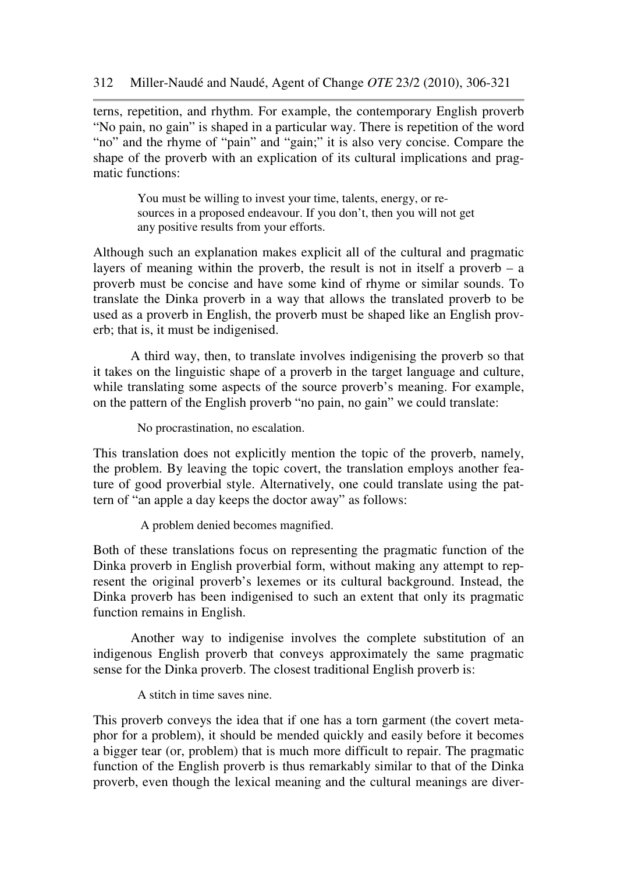terns, repetition, and rhythm. For example, the contemporary English proverb "No pain, no gain" is shaped in a particular way. There is repetition of the word "no" and the rhyme of "pain" and "gain;" it is also very concise. Compare the shape of the proverb with an explication of its cultural implications and pragmatic functions:

> You must be willing to invest your time, talents, energy, or resources in a proposed endeavour. If you don't, then you will not get any positive results from your efforts.

Although such an explanation makes explicit all of the cultural and pragmatic layers of meaning within the proverb, the result is not in itself a proverb  $-$  a proverb must be concise and have some kind of rhyme or similar sounds. To translate the Dinka proverb in a way that allows the translated proverb to be used as a proverb in English, the proverb must be shaped like an English proverb; that is, it must be indigenised.

 A third way, then, to translate involves indigenising the proverb so that it takes on the linguistic shape of a proverb in the target language and culture, while translating some aspects of the source proverb's meaning. For example, on the pattern of the English proverb "no pain, no gain" we could translate:

No procrastination, no escalation.

This translation does not explicitly mention the topic of the proverb, namely, the problem. By leaving the topic covert, the translation employs another feature of good proverbial style. Alternatively, one could translate using the pattern of "an apple a day keeps the doctor away" as follows:

A problem denied becomes magnified.

Both of these translations focus on representing the pragmatic function of the Dinka proverb in English proverbial form, without making any attempt to represent the original proverb's lexemes or its cultural background. Instead, the Dinka proverb has been indigenised to such an extent that only its pragmatic function remains in English.

 Another way to indigenise involves the complete substitution of an indigenous English proverb that conveys approximately the same pragmatic sense for the Dinka proverb. The closest traditional English proverb is:

A stitch in time saves nine.

This proverb conveys the idea that if one has a torn garment (the covert metaphor for a problem), it should be mended quickly and easily before it becomes a bigger tear (or, problem) that is much more difficult to repair. The pragmatic function of the English proverb is thus remarkably similar to that of the Dinka proverb, even though the lexical meaning and the cultural meanings are diver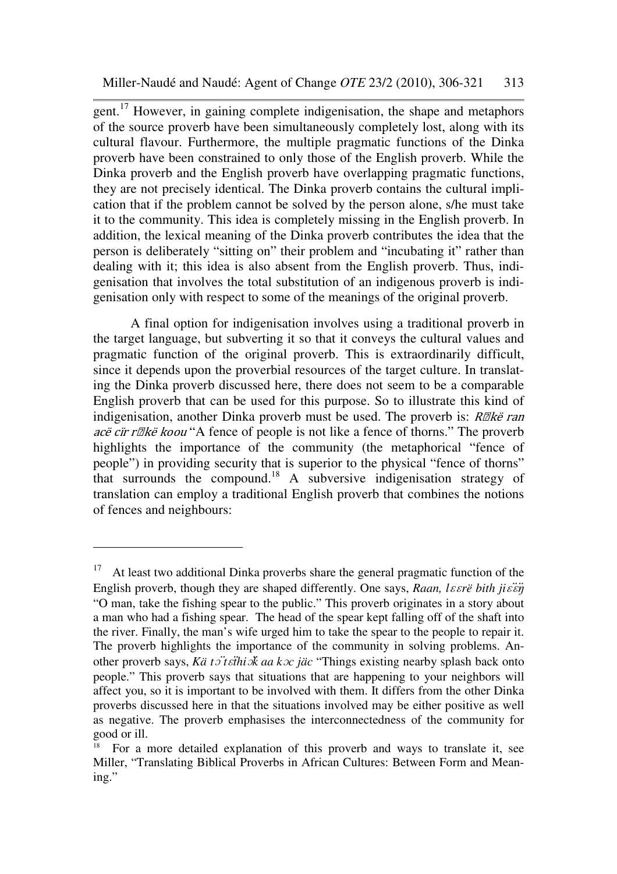gent.<sup>17</sup> However, in gaining complete indigenisation, the shape and metaphors of the source proverb have been simultaneously completely lost, along with its cultural flavour. Furthermore, the multiple pragmatic functions of the Dinka proverb have been constrained to only those of the English proverb. While the Dinka proverb and the English proverb have overlapping pragmatic functions, they are not precisely identical. The Dinka proverb contains the cultural implication that if the problem cannot be solved by the person alone, s/he must take it to the community. This idea is completely missing in the English proverb. In addition, the lexical meaning of the Dinka proverb contributes the idea that the person is deliberately "sitting on" their problem and "incubating it" rather than dealing with it; this idea is also absent from the English proverb. Thus, indigenisation that involves the total substitution of an indigenous proverb is indigenisation only with respect to some of the meanings of the original proverb.

 A final option for indigenisation involves using a traditional proverb in the target language, but subverting it so that it conveys the cultural values and pragmatic function of the original proverb. This is extraordinarily difficult, since it depends upon the proverbial resources of the target culture. In translating the Dinka proverb discussed here, there does not seem to be a comparable English proverb that can be used for this purpose. So to illustrate this kind of indigenisation, another Dinka proverb must be used. The proverb is:  $R\mathbb{Z}$ kë ran acë cir r $\mathbb{Z}$ kë koou "A fence of people is not like a fence of thorns." The proverb highlights the importance of the community (the metaphorical "fence of people") in providing security that is superior to the physical "fence of thorns" that surrounds the compound.<sup>18</sup> A subversive indigenisation strategy of translation can employ a traditional English proverb that combines the notions of fences and neighbours:

l

<sup>&</sup>lt;sup>17</sup> At least two additional Dinka proverbs share the general pragmatic function of the English proverb, though they are shaped differently. One says, *Raan, lɛɛrë bith jiɛ̃in* "O man, take the fishing spear to the public." This proverb originates in a story about a man who had a fishing spear. The head of the spear kept falling off of the shaft into the river. Finally, the man's wife urged him to take the spear to the people to repair it. The proverb highlights the importance of the community in solving problems. Another proverb says, *Kä t*ɔ̈ *t*ɛ̈*thi*ɔ̈*k aa k*ɔ*c jäc* "Things existing nearby splash back onto people." This proverb says that situations that are happening to your neighbors will affect you, so it is important to be involved with them. It differs from the other Dinka proverbs discussed here in that the situations involved may be either positive as well as negative. The proverb emphasises the interconnectedness of the community for good or ill.

<sup>18</sup> For a more detailed explanation of this proverb and ways to translate it, see Miller, "Translating Biblical Proverbs in African Cultures: Between Form and Meaning."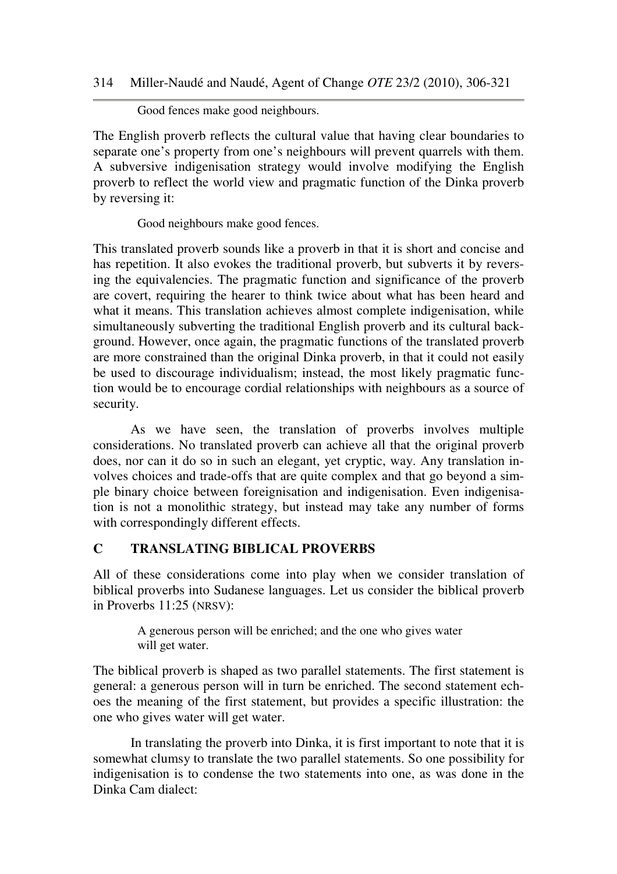Good fences make good neighbours.

The English proverb reflects the cultural value that having clear boundaries to separate one's property from one's neighbours will prevent quarrels with them. A subversive indigenisation strategy would involve modifying the English proverb to reflect the world view and pragmatic function of the Dinka proverb by reversing it:

Good neighbours make good fences.

This translated proverb sounds like a proverb in that it is short and concise and has repetition. It also evokes the traditional proverb, but subverts it by reversing the equivalencies. The pragmatic function and significance of the proverb are covert, requiring the hearer to think twice about what has been heard and what it means. This translation achieves almost complete indigenisation, while simultaneously subverting the traditional English proverb and its cultural background. However, once again, the pragmatic functions of the translated proverb are more constrained than the original Dinka proverb, in that it could not easily be used to discourage individualism; instead, the most likely pragmatic function would be to encourage cordial relationships with neighbours as a source of security.

 As we have seen, the translation of proverbs involves multiple considerations. No translated proverb can achieve all that the original proverb does, nor can it do so in such an elegant, yet cryptic, way. Any translation involves choices and trade-offs that are quite complex and that go beyond a simple binary choice between foreignisation and indigenisation. Even indigenisation is not a monolithic strategy, but instead may take any number of forms with correspondingly different effects.

# **C TRANSLATING BIBLICAL PROVERBS**

All of these considerations come into play when we consider translation of biblical proverbs into Sudanese languages. Let us consider the biblical proverb in Proverbs 11:25 (NRSV):

> A generous person will be enriched; and the one who gives water will get water.

The biblical proverb is shaped as two parallel statements. The first statement is general: a generous person will in turn be enriched. The second statement echoes the meaning of the first statement, but provides a specific illustration: the one who gives water will get water.

 In translating the proverb into Dinka, it is first important to note that it is somewhat clumsy to translate the two parallel statements. So one possibility for indigenisation is to condense the two statements into one, as was done in the Dinka Cam dialect: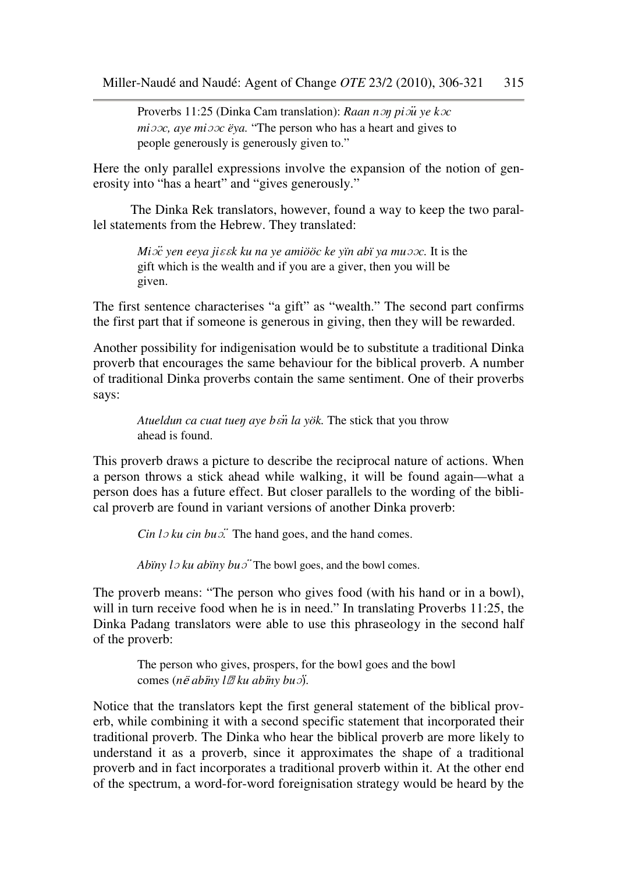Proverbs 11:25 (Dinka Cam translation): *Raan n*ɔŋ *pi*ɔ̈*u ye k*ɔ*c mi*ɔɔ*c, aye mi*ɔɔ*c ëya.* "The person who has a heart and gives to people generously is generously given to."

Here the only parallel expressions involve the expansion of the notion of generosity into "has a heart" and "gives generously."

 The Dinka Rek translators, however, found a way to keep the two parallel statements from the Hebrew. They translated:

> *Mi*ɔ̈*c yen eeya ji*ɛɛ*k ku na ye amiööc ke yïn abï ya mu*ɔɔ*c.* It is the gift which is the wealth and if you are a giver, then you will be given.

The first sentence characterises "a gift" as "wealth." The second part confirms the first part that if someone is generous in giving, then they will be rewarded.

Another possibility for indigenisation would be to substitute a traditional Dinka proverb that encourages the same behaviour for the biblical proverb. A number of traditional Dinka proverbs contain the same sentiment. One of their proverbs says:

*Atueldun ca cuat tue*ŋ *aye b*ɛ̈*n la yök.* The stick that you throw ahead is found.

This proverb draws a picture to describe the reciprocal nature of actions. When a person throws a stick ahead while walking, it will be found again—what a person does has a future effect. But closer parallels to the wording of the biblical proverb are found in variant versions of another Dinka proverb:

*Cin lo ku cin buo*<sup> $\ddot{\text{}}$ . The hand goes, and the hand comes.</sup>

*Abïny lo ku abïny buo* The bowl goes, and the bowl comes.

The proverb means: "The person who gives food (with his hand or in a bowl), will in turn receive food when he is in need." In translating Proverbs 11:25, the Dinka Padang translators were able to use this phraseology in the second half of the proverb:

> The person who gives, prospers, for the bowl goes and the bowl comes (*n*ë *ab*ï*ny l*ɔ *ku ab*ï*ny bu*ɔ̈).

Notice that the translators kept the first general statement of the biblical proverb, while combining it with a second specific statement that incorporated their traditional proverb. The Dinka who hear the biblical proverb are more likely to understand it as a proverb, since it approximates the shape of a traditional proverb and in fact incorporates a traditional proverb within it. At the other end of the spectrum, a word-for-word foreignisation strategy would be heard by the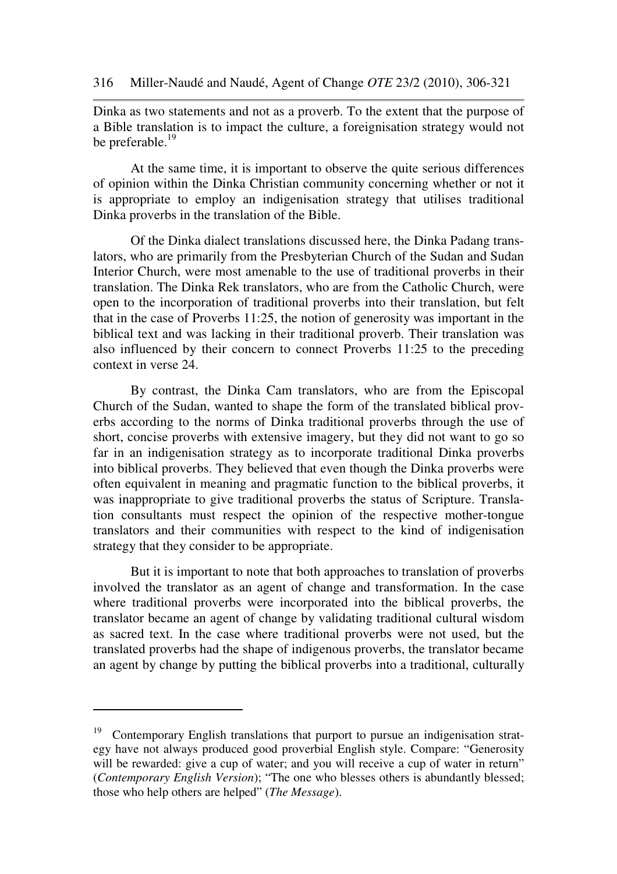Dinka as two statements and not as a proverb. To the extent that the purpose of a Bible translation is to impact the culture, a foreignisation strategy would not be preferable.<sup>19</sup>

 At the same time, it is important to observe the quite serious differences of opinion within the Dinka Christian community concerning whether or not it is appropriate to employ an indigenisation strategy that utilises traditional Dinka proverbs in the translation of the Bible.

 Of the Dinka dialect translations discussed here, the Dinka Padang translators, who are primarily from the Presbyterian Church of the Sudan and Sudan Interior Church, were most amenable to the use of traditional proverbs in their translation. The Dinka Rek translators, who are from the Catholic Church, were open to the incorporation of traditional proverbs into their translation, but felt that in the case of Proverbs 11:25, the notion of generosity was important in the biblical text and was lacking in their traditional proverb. Their translation was also influenced by their concern to connect Proverbs 11:25 to the preceding context in verse 24.

 By contrast, the Dinka Cam translators, who are from the Episcopal Church of the Sudan, wanted to shape the form of the translated biblical proverbs according to the norms of Dinka traditional proverbs through the use of short, concise proverbs with extensive imagery, but they did not want to go so far in an indigenisation strategy as to incorporate traditional Dinka proverbs into biblical proverbs. They believed that even though the Dinka proverbs were often equivalent in meaning and pragmatic function to the biblical proverbs, it was inappropriate to give traditional proverbs the status of Scripture. Translation consultants must respect the opinion of the respective mother-tongue translators and their communities with respect to the kind of indigenisation strategy that they consider to be appropriate.

 But it is important to note that both approaches to translation of proverbs involved the translator as an agent of change and transformation. In the case where traditional proverbs were incorporated into the biblical proverbs, the translator became an agent of change by validating traditional cultural wisdom as sacred text. In the case where traditional proverbs were not used, but the translated proverbs had the shape of indigenous proverbs, the translator became an agent by change by putting the biblical proverbs into a traditional, culturally

<sup>&</sup>lt;sup>19</sup> Contemporary English translations that purport to pursue an indigenisation strategy have not always produced good proverbial English style. Compare: "Generosity will be rewarded: give a cup of water; and you will receive a cup of water in return" (*Contemporary English Version*); "The one who blesses others is abundantly blessed; those who help others are helped" (*The Message*).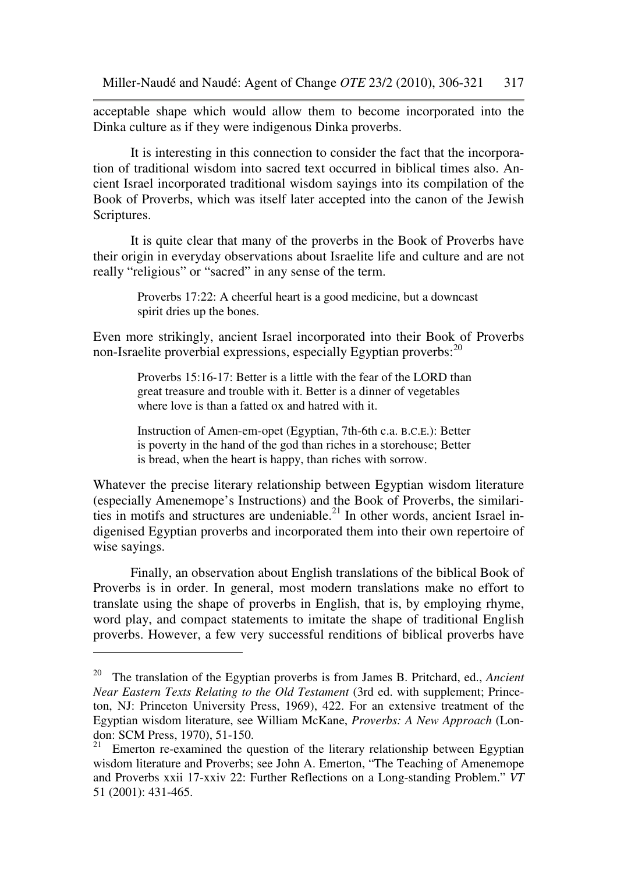acceptable shape which would allow them to become incorporated into the Dinka culture as if they were indigenous Dinka proverbs.

 It is interesting in this connection to consider the fact that the incorporation of traditional wisdom into sacred text occurred in biblical times also. Ancient Israel incorporated traditional wisdom sayings into its compilation of the Book of Proverbs, which was itself later accepted into the canon of the Jewish Scriptures.

 It is quite clear that many of the proverbs in the Book of Proverbs have their origin in everyday observations about Israelite life and culture and are not really "religious" or "sacred" in any sense of the term.

> Proverbs 17:22: A cheerful heart is a good medicine, but a downcast spirit dries up the bones.

Even more strikingly, ancient Israel incorporated into their Book of Proverbs non-Israelite proverbial expressions, especially Egyptian proverbs: $^{20}$ 

> Proverbs 15:16-17: Better is a little with the fear of the LORD than great treasure and trouble with it. Better is a dinner of vegetables where love is than a fatted ox and hatred with it.

> Instruction of Amen-em-opet (Egyptian, 7th-6th c.a. B.C.E.): Better is poverty in the hand of the god than riches in a storehouse; Better is bread, when the heart is happy, than riches with sorrow.

Whatever the precise literary relationship between Egyptian wisdom literature (especially Amenemope's Instructions) and the Book of Proverbs, the similarities in motifs and structures are undeniable.<sup>21</sup> In other words, ancient Israel indigenised Egyptian proverbs and incorporated them into their own repertoire of wise sayings.

 Finally, an observation about English translations of the biblical Book of Proverbs is in order. In general, most modern translations make no effort to translate using the shape of proverbs in English, that is, by employing rhyme, word play, and compact statements to imitate the shape of traditional English proverbs. However, a few very successful renditions of biblical proverbs have

<sup>20</sup> The translation of the Egyptian proverbs is from James B. Pritchard, ed., *Ancient Near Eastern Texts Relating to the Old Testament* (3rd ed. with supplement; Princeton, NJ: Princeton University Press, 1969), 422. For an extensive treatment of the Egyptian wisdom literature, see William McKane, *Proverbs: A New Approach* (London: SCM Press, 1970), 51-150.<br> $\frac{21}{21}$  Emerton re examined the cu

Emerton re-examined the question of the literary relationship between Egyptian wisdom literature and Proverbs; see John A. Emerton, "The Teaching of Amenemope and Proverbs xxii 17-xxiv 22: Further Reflections on a Long-standing Problem." *VT* 51 (2001): 431-465.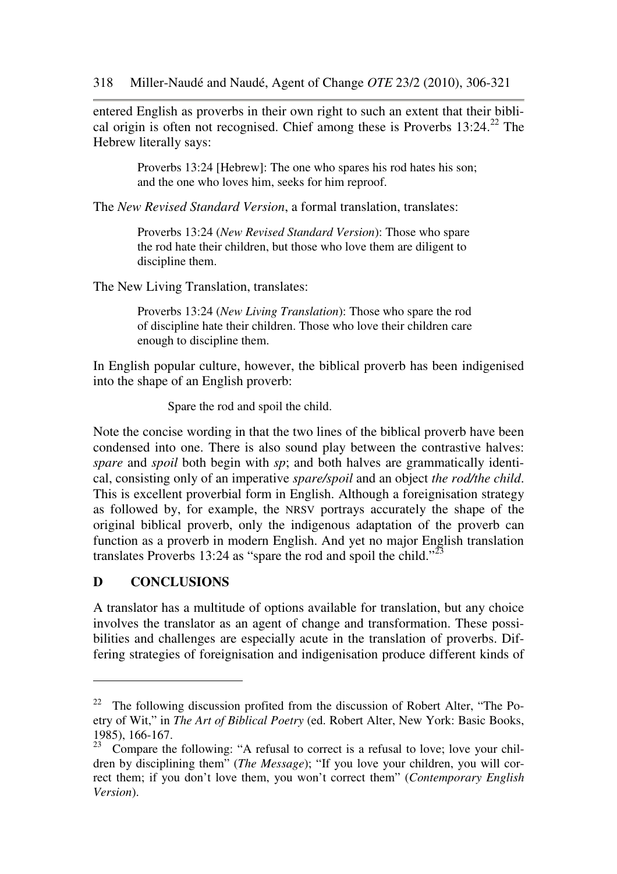entered English as proverbs in their own right to such an extent that their biblical origin is often not recognised. Chief among these is Proverbs  $13:24.^{22}$  The Hebrew literally says:

> Proverbs 13:24 [Hebrew]: The one who spares his rod hates his son; and the one who loves him, seeks for him reproof.

The *New Revised Standard Version*, a formal translation, translates:

Proverbs 13:24 (*New Revised Standard Version*): Those who spare the rod hate their children, but those who love them are diligent to discipline them.

The New Living Translation, translates:

Proverbs 13:24 (*New Living Translation*): Those who spare the rod of discipline hate their children. Those who love their children care enough to discipline them.

In English popular culture, however, the biblical proverb has been indigenised into the shape of an English proverb:

Spare the rod and spoil the child.

Note the concise wording in that the two lines of the biblical proverb have been condensed into one. There is also sound play between the contrastive halves: *spare* and *spoil* both begin with *sp*; and both halves are grammatically identical, consisting only of an imperative *spare/spoil* and an object *the rod/the child*. This is excellent proverbial form in English. Although a foreignisation strategy as followed by, for example, the NRSV portrays accurately the shape of the original biblical proverb, only the indigenous adaptation of the proverb can function as a proverb in modern English. And yet no major English translation translates Proverbs 13:24 as "spare the rod and spoil the child."<sup>23</sup>

# **D CONCLUSIONS**

l

A translator has a multitude of options available for translation, but any choice involves the translator as an agent of change and transformation. These possibilities and challenges are especially acute in the translation of proverbs. Differing strategies of foreignisation and indigenisation produce different kinds of

<sup>&</sup>lt;sup>22</sup> The following discussion profited from the discussion of Robert Alter, "The Poetry of Wit," in *The Art of Biblical Poetry* (ed. Robert Alter, New York: Basic Books, 1985), 166-167.

 $23$  Compare the following: "A refusal to correct is a refusal to love; love your children by disciplining them" (*The Message*); "If you love your children, you will correct them; if you don't love them, you won't correct them" (*Contemporary English Version*).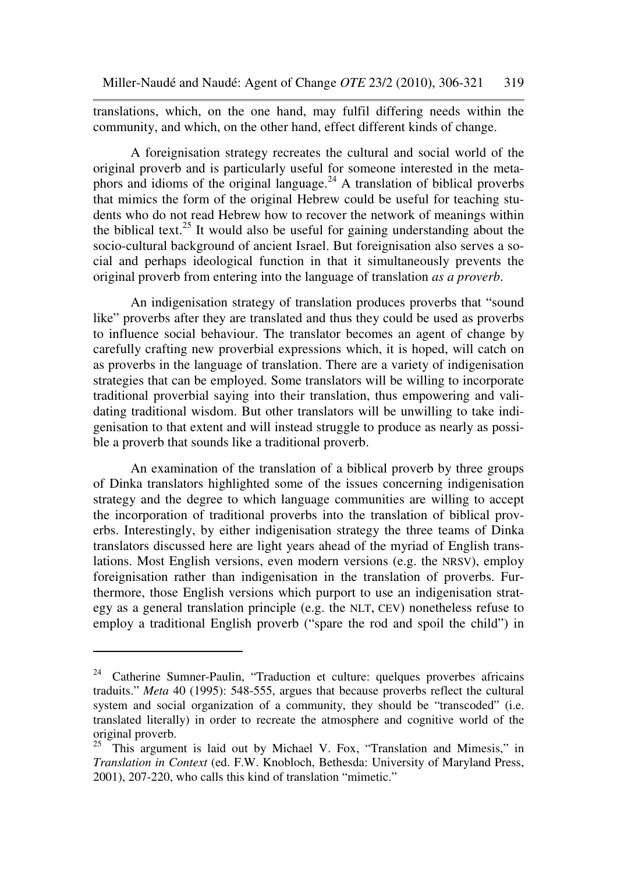translations, which, on the one hand, may fulfil differing needs within the community, and which, on the other hand, effect different kinds of change.

 A foreignisation strategy recreates the cultural and social world of the original proverb and is particularly useful for someone interested in the metaphors and idioms of the original language.<sup>24</sup> A translation of biblical proverbs that mimics the form of the original Hebrew could be useful for teaching students who do not read Hebrew how to recover the network of meanings within the biblical text.<sup>25</sup> It would also be useful for gaining understanding about the socio-cultural background of ancient Israel. But foreignisation also serves a social and perhaps ideological function in that it simultaneously prevents the original proverb from entering into the language of translation *as a proverb*.

 An indigenisation strategy of translation produces proverbs that "sound like" proverbs after they are translated and thus they could be used as proverbs to influence social behaviour. The translator becomes an agent of change by carefully crafting new proverbial expressions which, it is hoped, will catch on as proverbs in the language of translation. There are a variety of indigenisation strategies that can be employed. Some translators will be willing to incorporate traditional proverbial saying into their translation, thus empowering and validating traditional wisdom. But other translators will be unwilling to take indigenisation to that extent and will instead struggle to produce as nearly as possible a proverb that sounds like a traditional proverb.

 An examination of the translation of a biblical proverb by three groups of Dinka translators highlighted some of the issues concerning indigenisation strategy and the degree to which language communities are willing to accept the incorporation of traditional proverbs into the translation of biblical proverbs. Interestingly, by either indigenisation strategy the three teams of Dinka translators discussed here are light years ahead of the myriad of English translations. Most English versions, even modern versions (e.g. the NRSV), employ foreignisation rather than indigenisation in the translation of proverbs. Furthermore, those English versions which purport to use an indigenisation strategy as a general translation principle (e.g. the NLT, CEV) nonetheless refuse to employ a traditional English proverb ("spare the rod and spoil the child") in

<sup>&</sup>lt;sup>24</sup> Catherine Sumner-Paulin, "Traduction et culture: quelques proverbes africains traduits." *Meta* 40 (1995): 548-555, argues that because proverbs reflect the cultural system and social organization of a community, they should be "transcoded" (i.e. translated literally) in order to recreate the atmosphere and cognitive world of the original proverb.

 $25$  This argument is laid out by Michael V. Fox, "Translation and Mimesis," in *Translation in Context* (ed. F.W. Knobloch, Bethesda: University of Maryland Press, 2001), 207-220, who calls this kind of translation "mimetic."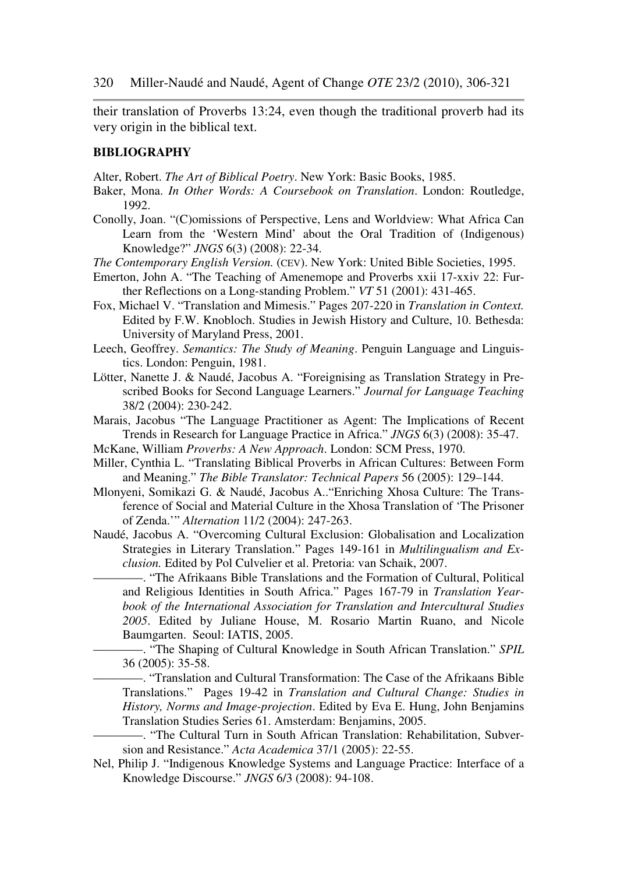their translation of Proverbs 13:24, even though the traditional proverb had its very origin in the biblical text.

#### **BIBLIOGRAPHY**

Alter, Robert. *The Art of Biblical Poetry*. New York: Basic Books, 1985.

- Baker, Mona. *In Other Words: A Coursebook on Translation*. London: Routledge, 1992.
- Conolly, Joan. "(C)omissions of Perspective, Lens and Worldview: What Africa Can Learn from the 'Western Mind' about the Oral Tradition of (Indigenous) Knowledge?" *JNGS* 6(3) (2008): 22-34.
- *The Contemporary English Version.* (CEV). New York: United Bible Societies, 1995.
- Emerton, John A. "The Teaching of Amenemope and Proverbs xxii 17-xxiv 22: Further Reflections on a Long-standing Problem." *VT* 51 (2001): 431-465.
- Fox, Michael V. "Translation and Mimesis." Pages 207-220 in *Translation in Context.* Edited by F.W. Knobloch. Studies in Jewish History and Culture, 10. Bethesda: University of Maryland Press, 2001.
- Leech, Geoffrey. *Semantics: The Study of Meaning*. Penguin Language and Linguistics. London: Penguin, 1981.
- Lötter, Nanette J. & Naudé, Jacobus A. "Foreignising as Translation Strategy in Prescribed Books for Second Language Learners." *Journal for Language Teaching* 38/2 (2004): 230-242.
- Marais, Jacobus "The Language Practitioner as Agent: The Implications of Recent Trends in Research for Language Practice in Africa." *JNGS* 6(3) (2008): 35-47.
- McKane, William *Proverbs: A New Approach*. London: SCM Press, 1970.
- Miller, Cynthia L. "Translating Biblical Proverbs in African Cultures: Between Form and Meaning." *The Bible Translator: Technical Papers* 56 (2005): 129–144.
- Mlonyeni, Somikazi G. & Naudé, Jacobus A.."Enriching Xhosa Culture: The Transference of Social and Material Culture in the Xhosa Translation of 'The Prisoner of Zenda.'" *Alternation* 11/2 (2004): 247-263.
- Naudé, Jacobus A. "Overcoming Cultural Exclusion: Globalisation and Localization Strategies in Literary Translation." Pages 149-161 in *Multilingualism and Exclusion.* Edited by Pol Culvelier et al. Pretoria: van Schaik, 2007.
	- ————. "The Afrikaans Bible Translations and the Formation of Cultural, Political and Religious Identities in South Africa." Pages 167-79 in *Translation Yearbook of the International Association for Translation and Intercultural Studies 2005*. Edited by Juliane House, M. Rosario Martin Ruano, and Nicole Baumgarten. Seoul: IATIS, 2005.
	- ————. "The Shaping of Cultural Knowledge in South African Translation." *SPIL* 36 (2005): 35-58.
	- ————. "Translation and Cultural Transformation: The Case of the Afrikaans Bible Translations." Pages 19-42 in *Translation and Cultural Change: Studies in History, Norms and Image-projection*. Edited by Eva E. Hung, John Benjamins Translation Studies Series 61. Amsterdam: Benjamins, 2005.

————. "The Cultural Turn in South African Translation: Rehabilitation, Subversion and Resistance." *Acta Academica* 37/1 (2005): 22-55.

Nel, Philip J. "Indigenous Knowledge Systems and Language Practice: Interface of a Knowledge Discourse." *JNGS* 6/3 (2008): 94-108.